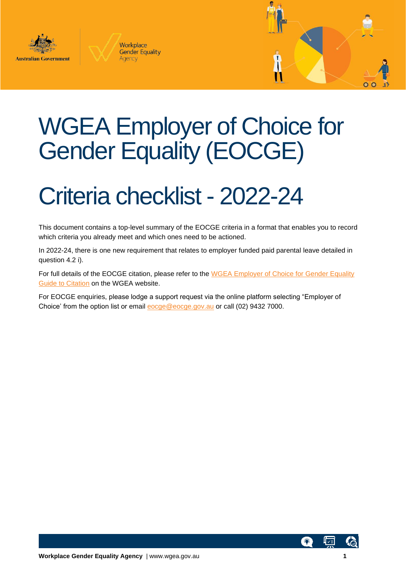





## WGEA Employer of Choice for Gender Equality (EOCGE)

## Criteria checklist - 2022-24

This document contains a top-level summary of the EOCGE criteria in a format that enables you to record which criteria you already meet and which ones need to be actioned.

In 2022-24, there is one new requirement that relates to employer funded paid parental leave detailed in question 4.2 i).

For full details of the EOCGE citation, please refer to the [WGEA Employer of Choice for Gender Equality](https://www.wgea.gov.au/sites/default/files/documents/2022-24%20Guide%20to%20Citation.pdf)  [Guide to Citation](https://www.wgea.gov.au/sites/default/files/documents/2022-24%20Guide%20to%20Citation.pdf) on the WGEA website.

For EOCGE enquiries, please lodge a support request via the online platform selecting "Employer of Choice' from the option list or email [eocge@eocge.gov.au](mailto:eocge@eocge.gov.au) or call (02) 9432 7000.

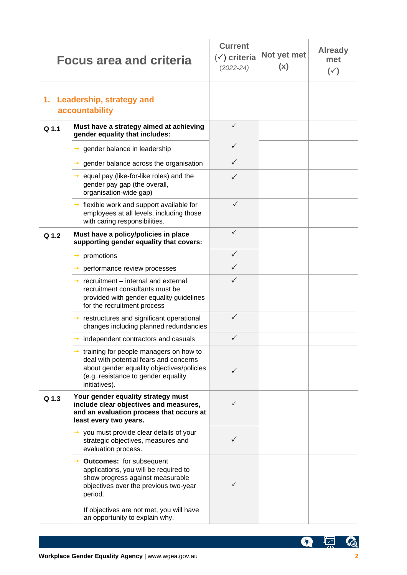|                  | <b>Focus area and criteria</b>                                                                                                                                                                               | <b>Current</b><br>$(\check{v})$ criteria<br>$(2022 - 24)$ | Not yet met<br>(x) | <b>Already</b><br>met<br>$(\check{ }')$ |
|------------------|--------------------------------------------------------------------------------------------------------------------------------------------------------------------------------------------------------------|-----------------------------------------------------------|--------------------|-----------------------------------------|
|                  | 1. Leadership, strategy and<br>accountability                                                                                                                                                                |                                                           |                    |                                         |
| Q <sub>1.1</sub> | Must have a strategy aimed at achieving<br>gender equality that includes:                                                                                                                                    | $\checkmark$                                              |                    |                                         |
|                  | gender balance in leadership                                                                                                                                                                                 | $\checkmark$                                              |                    |                                         |
|                  | gender balance across the organisation<br>→                                                                                                                                                                  | $\checkmark$                                              |                    |                                         |
|                  | $\rightarrow$ equal pay (like-for-like roles) and the<br>gender pay gap (the overall,<br>organisation-wide gap)                                                                                              | ✓                                                         |                    |                                         |
|                  | $\rightarrow$ flexible work and support available for<br>employees at all levels, including those<br>with caring responsibilities.                                                                           | $\checkmark$                                              |                    |                                         |
| Q 1.2            | Must have a policy/policies in place<br>supporting gender equality that covers:                                                                                                                              | $\checkmark$                                              |                    |                                         |
|                  | promotions<br>→                                                                                                                                                                                              | $\checkmark$                                              |                    |                                         |
|                  | performance review processes<br>→                                                                                                                                                                            | $\checkmark$                                              |                    |                                         |
|                  | recruitment - internal and external<br>$\rightarrow$<br>recruitment consultants must be<br>provided with gender equality guidelines<br>for the recruitment process                                           | ✓                                                         |                    |                                         |
|                  | $\rightarrow$ restructures and significant operational<br>changes including planned redundancies                                                                                                             | ✓                                                         |                    |                                         |
|                  | independent contractors and casuals                                                                                                                                                                          |                                                           |                    |                                         |
|                  | training for people managers on how to<br>deal with potential fears and concerns<br>about gender equality objectives/policies<br>(e.g. resistance to gender equality<br>initiatives).                        |                                                           |                    |                                         |
| Q 1.3            | Your gender equality strategy must<br>include clear objectives and measures,<br>and an evaluation process that occurs at<br>least every two years.                                                           | ✓                                                         |                    |                                         |
|                  | you must provide clear details of your<br>→<br>strategic objectives, measures and<br>evaluation process.                                                                                                     | ✓                                                         |                    |                                         |
|                  | <b>Outcomes:</b> for subsequent<br>applications, you will be required to<br>show progress against measurable<br>objectives over the previous two-year<br>period.<br>If objectives are not met, you will have |                                                           |                    |                                         |
|                  | an opportunity to explain why.                                                                                                                                                                               |                                                           |                    |                                         |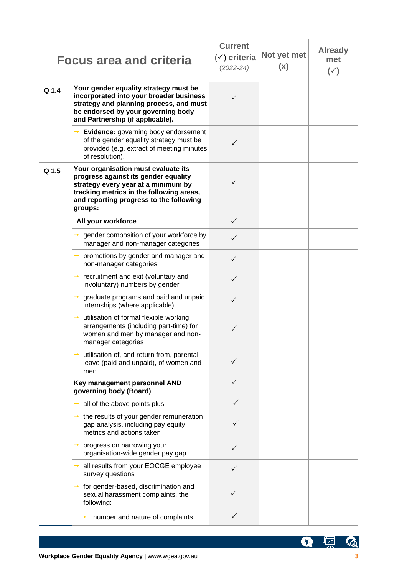|       | <b>Focus area and criteria</b>                                                                                                                                                                                       | <b>Current</b><br>$(\check{y})$ criteria<br>$(2022 - 24)$ | Not yet met<br>(x) | <b>Already</b><br>met<br>$(\check{ }')$ |
|-------|----------------------------------------------------------------------------------------------------------------------------------------------------------------------------------------------------------------------|-----------------------------------------------------------|--------------------|-----------------------------------------|
| Q 1.4 | Your gender equality strategy must be<br>incorporated into your broader business<br>strategy and planning process, and must<br>be endorsed by your governing body<br>and Partnership (if applicable).                | ✓                                                         |                    |                                         |
|       | $\rightarrow$ Evidence: governing body endorsement<br>of the gender equality strategy must be<br>provided (e.g. extract of meeting minutes<br>of resolution).                                                        |                                                           |                    |                                         |
| Q 1.5 | Your organisation must evaluate its<br>progress against its gender equality<br>strategy every year at a minimum by<br>tracking metrics in the following areas,<br>and reporting progress to the following<br>groups: | ✓                                                         |                    |                                         |
|       | All your workforce                                                                                                                                                                                                   | $\checkmark$                                              |                    |                                         |
|       | $\rightarrow$ gender composition of your workforce by<br>manager and non-manager categories                                                                                                                          | $\checkmark$                                              |                    |                                         |
|       | promotions by gender and manager and<br>non-manager categories                                                                                                                                                       | $\checkmark$                                              |                    |                                         |
|       | $\rightarrow$ recruitment and exit (voluntary and<br>involuntary) numbers by gender                                                                                                                                  | $\checkmark$                                              |                    |                                         |
|       | graduate programs and paid and unpaid<br>internships (where applicable)                                                                                                                                              | $\checkmark$                                              |                    |                                         |
|       | $\rightarrow$ utilisation of formal flexible working<br>arrangements (including part-time) for<br>women and men by manager and non-<br>manager categories                                                            | ✓                                                         |                    |                                         |
|       | $\rightarrow$ utilisation of, and return from, parental<br>leave (paid and unpaid), of women and<br>men                                                                                                              | ✓                                                         |                    |                                         |
|       | Key management personnel AND<br>governing body (Board)                                                                                                                                                               | $\checkmark$                                              |                    |                                         |
|       | all of the above points plus                                                                                                                                                                                         | $\checkmark$                                              |                    |                                         |
|       | $\rightarrow$ the results of your gender remuneration<br>gap analysis, including pay equity<br>metrics and actions taken                                                                                             |                                                           |                    |                                         |
|       | progress on narrowing your<br>→<br>organisation-wide gender pay gap                                                                                                                                                  | ✓                                                         |                    |                                         |
|       | all results from your EOCGE employee<br>→<br>survey questions                                                                                                                                                        | $\checkmark$                                              |                    |                                         |
|       | for gender-based, discrimination and<br>sexual harassment complaints, the<br>following:                                                                                                                              | ✓                                                         |                    |                                         |
|       | number and nature of complaints                                                                                                                                                                                      | $\checkmark$                                              |                    |                                         |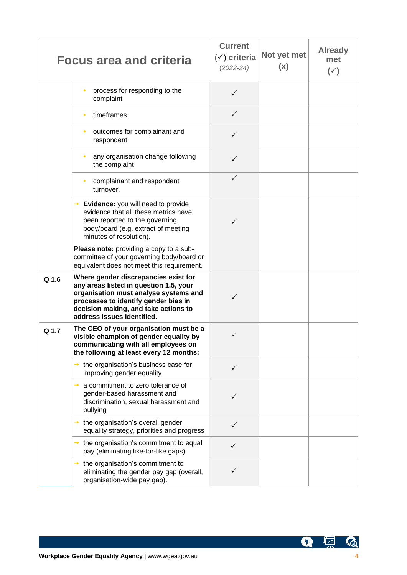|       | <b>Focus area and criteria</b>                                                                                                                                                                                                        | <b>Current</b><br>$(\check{y})$ criteria<br>$(2022 - 24)$ | Not yet met<br>(x) | <b>Already</b><br>met<br>$(\check{ }')$ |
|-------|---------------------------------------------------------------------------------------------------------------------------------------------------------------------------------------------------------------------------------------|-----------------------------------------------------------|--------------------|-----------------------------------------|
|       | process for responding to the<br>complaint                                                                                                                                                                                            | ✓                                                         |                    |                                         |
|       | timeframes                                                                                                                                                                                                                            | $\checkmark$                                              |                    |                                         |
|       | outcomes for complainant and<br>٠<br>respondent                                                                                                                                                                                       | $\checkmark$                                              |                    |                                         |
|       | any organisation change following<br>the complaint                                                                                                                                                                                    | $\checkmark$                                              |                    |                                         |
|       | complainant and respondent<br>turnover.                                                                                                                                                                                               | $\checkmark$                                              |                    |                                         |
|       | $\rightarrow$ Evidence: you will need to provide<br>evidence that all these metrics have<br>been reported to the governing<br>body/board (e.g. extract of meeting<br>minutes of resolution).                                          | ✓                                                         |                    |                                         |
|       | Please note: providing a copy to a sub-<br>committee of your governing body/board or<br>equivalent does not meet this requirement.                                                                                                    |                                                           |                    |                                         |
| Q 1.6 | Where gender discrepancies exist for<br>any areas listed in question 1.5, your<br>organisation must analyse systems and<br>processes to identify gender bias in<br>decision making, and take actions to<br>address issues identified. | ✓                                                         |                    |                                         |
| Q 1.7 | The CEO of your organisation must be a<br>visible champion of gender equality by<br>communicating with all employees on<br>the following at least every 12 months:                                                                    | $\checkmark$                                              |                    |                                         |
|       | $\rightarrow$ the organisation's business case for<br>improving gender equality                                                                                                                                                       | ✓                                                         |                    |                                         |
|       | a commitment to zero tolerance of<br>→<br>gender-based harassment and<br>discrimination, sexual harassment and<br>bullying                                                                                                            | ✓                                                         |                    |                                         |
|       | $\rightarrow$ the organisation's overall gender<br>equality strategy, priorities and progress                                                                                                                                         | $\checkmark$                                              |                    |                                         |
|       | $\rightarrow$ the organisation's commitment to equal<br>pay (eliminating like-for-like gaps).                                                                                                                                         | ✓                                                         |                    |                                         |
|       | the organisation's commitment to<br>eliminating the gender pay gap (overall,<br>organisation-wide pay gap).                                                                                                                           | $\checkmark$                                              |                    |                                         |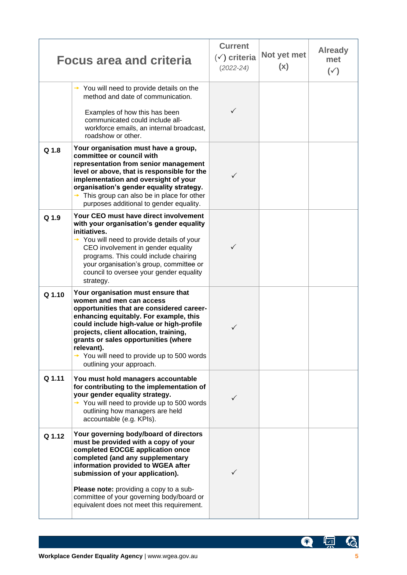|        | <b>Focus area and criteria</b>                                                                                                                                                                                                                                                                                                                                                          | <b>Current</b><br>$(\check{y})$ criteria<br>$(2022 - 24)$ | Not yet met<br>(x) | <b>Already</b><br>met<br>$(\check{ }')$ |
|--------|-----------------------------------------------------------------------------------------------------------------------------------------------------------------------------------------------------------------------------------------------------------------------------------------------------------------------------------------------------------------------------------------|-----------------------------------------------------------|--------------------|-----------------------------------------|
|        | You will need to provide details on the<br>method and date of communication.<br>Examples of how this has been<br>communicated could include all-<br>workforce emails, an internal broadcast,<br>roadshow or other.                                                                                                                                                                      | ✓                                                         |                    |                                         |
| Q 1.8  | Your organisation must have a group,<br>committee or council with<br>representation from senior management<br>level or above, that is responsible for the<br>implementation and oversight of your<br>organisation's gender equality strategy.<br>$\rightarrow$ This group can also be in place for other<br>purposes additional to gender equality.                                     | ✓                                                         |                    |                                         |
| Q 1.9  | Your CEO must have direct involvement<br>with your organisation's gender equality<br>initiatives.<br>$\rightarrow$ You will need to provide details of your<br>CEO involvement in gender equality<br>programs. This could include chairing<br>your organisation's group, committee or<br>council to oversee your gender equality<br>strategy.                                           | ✓                                                         |                    |                                         |
| Q 1.10 | Your organisation must ensure that<br>women and men can access<br>opportunities that are considered career-<br>enhancing equitably. For example, this<br>could include high-value or high-profile<br>projects, client allocation, training,<br>grants or sales opportunities (where<br>relevant).<br>$\rightarrow$ You will need to provide up to 500 words<br>outlining your approach. | ✓                                                         |                    |                                         |
| Q 1.11 | You must hold managers accountable<br>for contributing to the implementation of<br>your gender equality strategy.<br>$\rightarrow$ You will need to provide up to 500 words<br>outlining how managers are held<br>accountable (e.g. KPIs).                                                                                                                                              | ✓                                                         |                    |                                         |
| Q 1.12 | Your governing body/board of directors<br>must be provided with a copy of your<br>completed EOCGE application once<br>completed (and any supplementary<br>information provided to WGEA after<br>submission of your application).<br>Please note: providing a copy to a sub-<br>committee of your governing body/board or<br>equivalent does not meet this requirement.                  |                                                           |                    |                                         |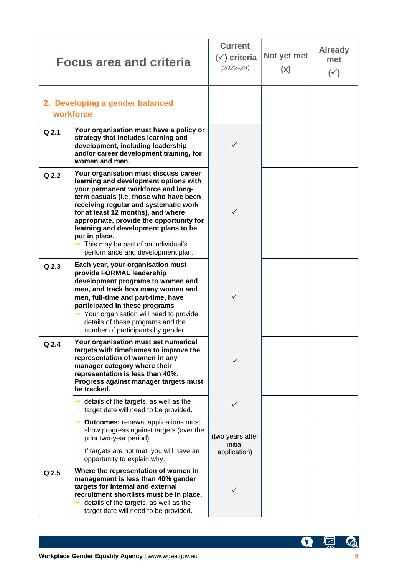|         | <b>Focus area and criteria</b>                                                                                                                                                                                                                                                                                                                                                                                                 | <b>Current</b><br>$(\check{v})$ criteria<br>$(2022 - 24)$ | Not yet met<br>(x) | <b>Already</b><br>met<br>$(\check{ }')$ |
|---------|--------------------------------------------------------------------------------------------------------------------------------------------------------------------------------------------------------------------------------------------------------------------------------------------------------------------------------------------------------------------------------------------------------------------------------|-----------------------------------------------------------|--------------------|-----------------------------------------|
|         | 2. Developing a gender balanced<br>workforce                                                                                                                                                                                                                                                                                                                                                                                   |                                                           |                    |                                         |
| $Q$ 2.1 | Your organisation must have a policy or<br>strategy that includes learning and<br>development, including leadership<br>and/or career development training, for<br>women and men.                                                                                                                                                                                                                                               | ✓                                                         |                    |                                         |
| $Q$ 2.2 | Your organisation must discuss career<br>learning and development options with<br>your permanent workforce and long-<br>term casuals (i.e. those who have been<br>receiving regular and systematic work<br>for at least 12 months), and where<br>appropriate, provide the opportunity for<br>learning and development plans to be<br>put in place.<br>This may be part of an individual's<br>performance and development plan. | $\checkmark$                                              |                    |                                         |
| $Q$ 2.3 | Each year, your organisation must<br>provide FORMAL leadership<br>development programs to women and<br>men, and track how many women and<br>men, full-time and part-time, have<br>participated in these programs<br>$\rightarrow$ Your organisation will need to provide<br>details of these programs and the<br>number of participants by gender.                                                                             | ✓                                                         |                    |                                         |
| Q 2.4   | Your organisation must set numerical<br>targets with timeframes to improve the<br>representation of women in any<br>manager category where their<br>representation is less than 40%.<br>Progress against manager targets must<br>be tracked.                                                                                                                                                                                   |                                                           |                    |                                         |
|         | details of the targets, as well as the<br>$\rightarrow$<br>target date will need to be provided.                                                                                                                                                                                                                                                                                                                               | $\checkmark$                                              |                    |                                         |
|         | <b>Outcomes:</b> renewal applications must<br>show progress against targets (over the<br>prior two-year period).<br>If targets are not met, you will have an<br>opportunity to explain why.                                                                                                                                                                                                                                    | (two years after<br>initial<br>application)               |                    |                                         |
| Q 2.5   | Where the representation of women in<br>management is less than 40% gender<br>targets for internal and external<br>recruitment shortlists must be in place.<br>details of the targets, as well as the<br>$\rightarrow$<br>target date will need to be provided.                                                                                                                                                                |                                                           |                    |                                         |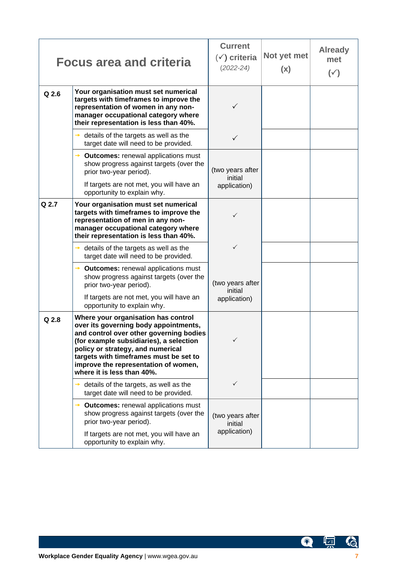|         | <b>Focus area and criteria</b>                                                                                                                                                                                                                                                                                          | <b>Current</b><br>$(\check{v})$ criteria<br>$(2022 - 24)$ | Not yet met<br>(x) | <b>Already</b><br>met<br>$(\check{ }')$ |
|---------|-------------------------------------------------------------------------------------------------------------------------------------------------------------------------------------------------------------------------------------------------------------------------------------------------------------------------|-----------------------------------------------------------|--------------------|-----------------------------------------|
| $Q$ 2.6 | Your organisation must set numerical<br>targets with timeframes to improve the<br>representation of women in any non-<br>manager occupational category where<br>their representation is less than 40%.                                                                                                                  | ✓                                                         |                    |                                         |
|         | details of the targets as well as the<br>target date will need to be provided.                                                                                                                                                                                                                                          | ✓                                                         |                    |                                         |
|         | <b>Outcomes:</b> renewal applications must<br>show progress against targets (over the<br>prior two-year period).<br>If targets are not met, you will have an                                                                                                                                                            | (two years after<br>initial<br>application)               |                    |                                         |
| $Q$ 2.7 | opportunity to explain why.<br>Your organisation must set numerical<br>targets with timeframes to improve the<br>representation of men in any non-<br>manager occupational category where<br>their representation is less than 40%.                                                                                     | ✓                                                         |                    |                                         |
|         | details of the targets as well as the<br>→<br>target date will need to be provided.                                                                                                                                                                                                                                     | $\checkmark$                                              |                    |                                         |
|         | <b>Outcomes:</b> renewal applications must<br>show progress against targets (over the<br>prior two-year period).<br>If targets are not met, you will have an<br>opportunity to explain why.                                                                                                                             | (two years after<br>initial<br>application)               |                    |                                         |
| Q 2.8   | Where your organisation has control<br>over its governing body appointments,<br>and control over other governing bodies<br>(for example subsidiaries), a selection<br>policy or strategy, and numerical<br>targets with timeframes must be set to<br>improve the representation of women,<br>where it is less than 40%. | $\checkmark$                                              |                    |                                         |
|         | details of the targets, as well as the<br>target date will need to be provided.                                                                                                                                                                                                                                         | $\checkmark$                                              |                    |                                         |
|         | <b>Outcomes: renewal applications must</b><br>show progress against targets (over the<br>prior two-year period).<br>If targets are not met, you will have an<br>opportunity to explain why.                                                                                                                             | (two years after<br>initial<br>application)               |                    |                                         |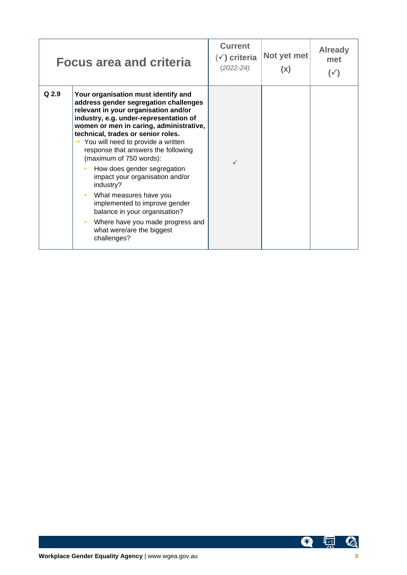|       | <b>Focus area and criteria</b>                                                                                                                                                                                                                                                                                                                                                                                                                                                                                                                                                                                                   | <b>Current</b><br>$(\checkmark)$ criteria<br>$(2022 - 24)$ | Not yet met<br>(x) | <b>Already</b><br>met<br>( ✓ ) |
|-------|----------------------------------------------------------------------------------------------------------------------------------------------------------------------------------------------------------------------------------------------------------------------------------------------------------------------------------------------------------------------------------------------------------------------------------------------------------------------------------------------------------------------------------------------------------------------------------------------------------------------------------|------------------------------------------------------------|--------------------|--------------------------------|
| Q 2.9 | Your organisation must identify and<br>address gender segregation challenges<br>relevant in your organisation and/or<br>industry, e.g. under-representation of<br>women or men in caring, administrative,<br>technical, trades or senior roles.<br>$\rightarrow$ You will need to provide a written<br>response that answers the following<br>(maximum of 750 words):<br>How does gender segregation<br>impact your organisation and/or<br>industry?<br>What measures have you<br>implemented to improve gender<br>balance in your organisation?<br>Where have you made progress and<br>what were/are the biggest<br>challenges? | ✓                                                          |                    |                                |

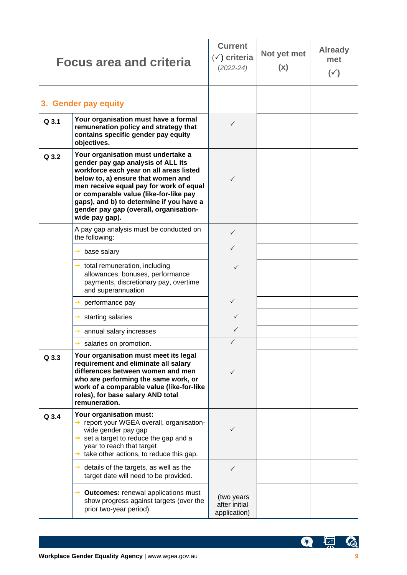|       | <b>Focus area and criteria</b>                                                                                                                                                                                                                                                                                                                         | <b>Current</b><br>$(\check{ }')$ criteria<br>$(2022 - 24)$ | Not yet met<br>(x) | <b>Already</b><br>met<br>$(\check{ }')$ |
|-------|--------------------------------------------------------------------------------------------------------------------------------------------------------------------------------------------------------------------------------------------------------------------------------------------------------------------------------------------------------|------------------------------------------------------------|--------------------|-----------------------------------------|
|       | 3. Gender pay equity                                                                                                                                                                                                                                                                                                                                   |                                                            |                    |                                         |
| Q 3.1 | Your organisation must have a formal<br>remuneration policy and strategy that<br>contains specific gender pay equity<br>objectives.                                                                                                                                                                                                                    | $\checkmark$                                               |                    |                                         |
| Q 3.2 | Your organisation must undertake a<br>gender pay gap analysis of ALL its<br>workforce each year on all areas listed<br>below to, a) ensure that women and<br>men receive equal pay for work of equal<br>or comparable value (like-for-like pay<br>gaps), and b) to determine if you have a<br>gender pay gap (overall, organisation-<br>wide pay gap). | $\checkmark$                                               |                    |                                         |
|       | A pay gap analysis must be conducted on<br>the following:                                                                                                                                                                                                                                                                                              | $\checkmark$                                               |                    |                                         |
|       | base salary<br>$\rightarrow$                                                                                                                                                                                                                                                                                                                           | $\checkmark$                                               |                    |                                         |
|       | $\rightarrow$ total remuneration, including<br>allowances, bonuses, performance<br>payments, discretionary pay, overtime<br>and superannuation                                                                                                                                                                                                         | ✓                                                          |                    |                                         |
|       | performance pay                                                                                                                                                                                                                                                                                                                                        | $\checkmark$                                               |                    |                                         |
|       | starting salaries<br>→                                                                                                                                                                                                                                                                                                                                 | $\checkmark$                                               |                    |                                         |
|       | annual salary increases                                                                                                                                                                                                                                                                                                                                | ✓                                                          |                    |                                         |
|       | salaries on promotion.                                                                                                                                                                                                                                                                                                                                 | $\checkmark$                                               |                    |                                         |
| Q 3.3 | Your organisation must meet its legal<br>requirement and eliminate all salary<br>differences between women and men<br>who are performing the same work, or<br>work of a comparable value (like-for-like<br>roles), for base salary AND total<br>remuneration.                                                                                          | ✓                                                          |                    |                                         |
| Q 3.4 | Your organisation must:<br>→ report your WGEA overall, organisation-<br>wide gender pay gap<br>$\rightarrow$ set a target to reduce the gap and a<br>year to reach that target<br>take other actions, to reduce this gap.<br>$\rightarrow$                                                                                                             | ✓                                                          |                    |                                         |
|       | details of the targets, as well as the<br>$\rightarrow$<br>target date will need to be provided.                                                                                                                                                                                                                                                       | ✓                                                          |                    |                                         |
|       | <b>Outcomes: renewal applications must</b><br>show progress against targets (over the<br>prior two-year period).                                                                                                                                                                                                                                       | (two years<br>after initial<br>application)                |                    |                                         |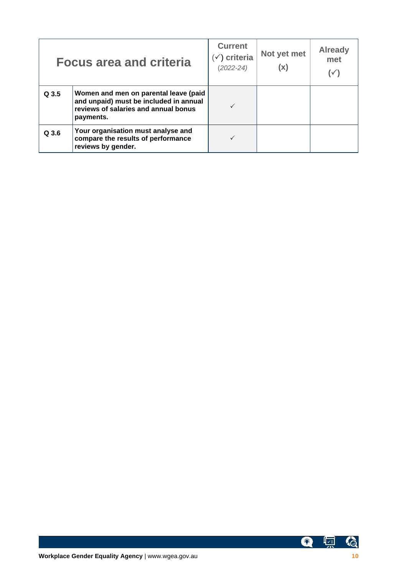|       | <b>Focus area and criteria</b>                                                                                                       | <b>Current</b><br>$(\check{ } )$ criteria<br>$(2022 - 24)$ | Not yet met<br>(x) | <b>Already</b><br>met |
|-------|--------------------------------------------------------------------------------------------------------------------------------------|------------------------------------------------------------|--------------------|-----------------------|
| Q 3.5 | Women and men on parental leave (paid<br>and unpaid) must be included in annual<br>reviews of salaries and annual bonus<br>payments. |                                                            |                    |                       |
| Q 3.6 | Your organisation must analyse and<br>compare the results of performance<br>reviews by gender.                                       |                                                            |                    |                       |

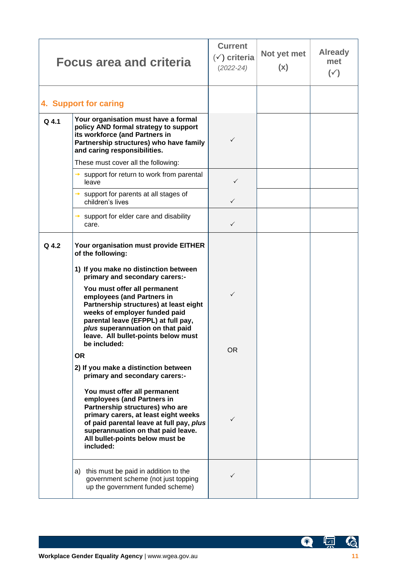|       | <b>Focus area and criteria</b>                                                                                                                                                                                                                                                                                                                                                                                                                                                                                                                                                                                                                                                                                                                                                                                                   | <b>Current</b><br>$(\check{v})$ criteria<br>$(2022 - 24)$ | Not yet met<br>(x) | <b>Already</b><br>met<br>$(\check{ }')$ |
|-------|----------------------------------------------------------------------------------------------------------------------------------------------------------------------------------------------------------------------------------------------------------------------------------------------------------------------------------------------------------------------------------------------------------------------------------------------------------------------------------------------------------------------------------------------------------------------------------------------------------------------------------------------------------------------------------------------------------------------------------------------------------------------------------------------------------------------------------|-----------------------------------------------------------|--------------------|-----------------------------------------|
|       | 4. Support for caring                                                                                                                                                                                                                                                                                                                                                                                                                                                                                                                                                                                                                                                                                                                                                                                                            |                                                           |                    |                                         |
| Q 4.1 | Your organisation must have a formal<br>policy AND formal strategy to support<br>its workforce (and Partners in<br>Partnership structures) who have family<br>and caring responsibilities.                                                                                                                                                                                                                                                                                                                                                                                                                                                                                                                                                                                                                                       | $\checkmark$                                              |                    |                                         |
|       | These must cover all the following:                                                                                                                                                                                                                                                                                                                                                                                                                                                                                                                                                                                                                                                                                                                                                                                              |                                                           |                    |                                         |
|       | support for return to work from parental<br>→<br>leave                                                                                                                                                                                                                                                                                                                                                                                                                                                                                                                                                                                                                                                                                                                                                                           | $\checkmark$                                              |                    |                                         |
|       | support for parents at all stages of<br>$\rightarrow$<br>children's lives                                                                                                                                                                                                                                                                                                                                                                                                                                                                                                                                                                                                                                                                                                                                                        | $\checkmark$                                              |                    |                                         |
|       | support for elder care and disability<br>care.                                                                                                                                                                                                                                                                                                                                                                                                                                                                                                                                                                                                                                                                                                                                                                                   | $\checkmark$                                              |                    |                                         |
| Q 4.2 | Your organisation must provide EITHER<br>of the following:<br>1) If you make no distinction between<br>primary and secondary carers:-<br>You must offer all permanent<br>employees (and Partners in<br>Partnership structures) at least eight<br>weeks of employer funded paid<br>parental leave (EFPPL) at full pay,<br>plus superannuation on that paid<br>leave. All bullet-points below must<br>be included:<br><b>OR</b><br>2) If you make a distinction between<br>primary and secondary carers:-<br>You must offer all permanent<br>employees (and Partners in<br>Partnership structures) who are<br>primary carers, at least eight weeks<br>of paid parental leave at full pay, plus<br>superannuation on that paid leave.<br>All bullet-points below must be<br>included:<br>this must be paid in addition to the<br>a) | $\checkmark$<br>OR.<br>✓                                  |                    |                                         |
|       | government scheme (not just topping<br>up the government funded scheme)                                                                                                                                                                                                                                                                                                                                                                                                                                                                                                                                                                                                                                                                                                                                                          | ✓                                                         |                    |                                         |

G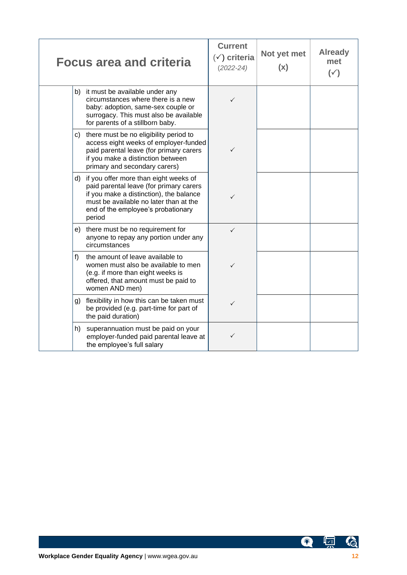|    | <b>Focus area and criteria</b>                                                                                                                                                                                        | <b>Current</b><br>$(\check{y})$ criteria<br>$(2022 - 24)$ | Not yet met<br>(x) | <b>Already</b><br>met<br>$(\check{ }')$ |
|----|-----------------------------------------------------------------------------------------------------------------------------------------------------------------------------------------------------------------------|-----------------------------------------------------------|--------------------|-----------------------------------------|
|    | b) it must be available under any<br>circumstances where there is a new<br>baby: adoption, same-sex couple or<br>surrogacy. This must also be available<br>for parents of a stillborn baby.                           | $\checkmark$                                              |                    |                                         |
| C) | there must be no eligibility period to<br>access eight weeks of employer-funded<br>paid parental leave (for primary carers<br>if you make a distinction between<br>primary and secondary carers)                      | $\checkmark$                                              |                    |                                         |
| d) | if you offer more than eight weeks of<br>paid parental leave (for primary carers<br>if you make a distinction), the balance<br>must be available no later than at the<br>end of the employee's probationary<br>period | $\checkmark$                                              |                    |                                         |
| e) | there must be no requirement for<br>anyone to repay any portion under any<br>circumstances                                                                                                                            | ✓                                                         |                    |                                         |
| f) | the amount of leave available to<br>women must also be available to men<br>(e.g. if more than eight weeks is<br>offered, that amount must be paid to<br>women AND men)                                                | $\checkmark$                                              |                    |                                         |
| g) | flexibility in how this can be taken must<br>be provided (e.g. part-time for part of<br>the paid duration)                                                                                                            | $\checkmark$                                              |                    |                                         |
| h) | superannuation must be paid on your<br>employer-funded paid parental leave at<br>the employee's full salary                                                                                                           | $\checkmark$                                              |                    |                                         |

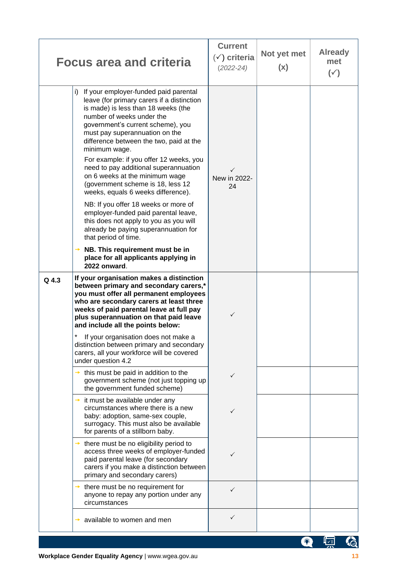|       | <b>Focus area and criteria</b>                                                                                                                                                                                                                                                                                                                                                                                                                                                                                                                                                                                                                                      | <b>Current</b><br>$(\check{y})$ criteria<br>$(2022 - 24)$ | Not yet met<br>(x) | <b>Already</b><br>met<br>$(\check{ }')$ |  |
|-------|---------------------------------------------------------------------------------------------------------------------------------------------------------------------------------------------------------------------------------------------------------------------------------------------------------------------------------------------------------------------------------------------------------------------------------------------------------------------------------------------------------------------------------------------------------------------------------------------------------------------------------------------------------------------|-----------------------------------------------------------|--------------------|-----------------------------------------|--|
|       | If your employer-funded paid parental<br>i)<br>leave (for primary carers if a distinction<br>is made) is less than 18 weeks (the<br>number of weeks under the<br>government's current scheme), you<br>must pay superannuation on the<br>difference between the two, paid at the<br>minimum wage.<br>For example: if you offer 12 weeks, you<br>need to pay additional superannuation<br>on 6 weeks at the minimum wage<br>(government scheme is 18, less 12<br>weeks, equals 6 weeks difference).<br>NB: If you offer 18 weeks or more of<br>employer-funded paid parental leave,<br>this does not apply to you as you will<br>already be paying superannuation for | New in 2022-<br>24                                        |                    |                                         |  |
|       | that period of time.<br>NB. This requirement must be in<br>place for all applicants applying in<br>2022 onward.                                                                                                                                                                                                                                                                                                                                                                                                                                                                                                                                                     |                                                           |                    |                                         |  |
| Q 4.3 | If your organisation makes a distinction<br>between primary and secondary carers,*<br>you must offer all permanent employees<br>who are secondary carers at least three<br>weeks of paid parental leave at full pay<br>plus superannuation on that paid leave<br>and include all the points below:                                                                                                                                                                                                                                                                                                                                                                  | ✓                                                         |                    |                                         |  |
|       | If your organisation does not make a<br>distinction between primary and secondary<br>carers, all your workforce will be covered<br>under question 4.2                                                                                                                                                                                                                                                                                                                                                                                                                                                                                                               |                                                           |                    |                                         |  |
|       | this must be paid in addition to the<br>government scheme (not just topping up<br>the government funded scheme)                                                                                                                                                                                                                                                                                                                                                                                                                                                                                                                                                     | ✓                                                         |                    |                                         |  |
|       | it must be available under any<br>→<br>circumstances where there is a new<br>baby: adoption, same-sex couple,<br>surrogacy. This must also be available<br>for parents of a stillborn baby.                                                                                                                                                                                                                                                                                                                                                                                                                                                                         |                                                           |                    |                                         |  |
|       | there must be no eligibility period to<br>access three weeks of employer-funded<br>paid parental leave (for secondary<br>carers if you make a distinction between<br>primary and secondary carers)                                                                                                                                                                                                                                                                                                                                                                                                                                                                  | ✓                                                         |                    |                                         |  |
|       | $\rightarrow$ there must be no requirement for<br>anyone to repay any portion under any<br>circumstances                                                                                                                                                                                                                                                                                                                                                                                                                                                                                                                                                            | ✓                                                         |                    |                                         |  |
|       | available to women and men                                                                                                                                                                                                                                                                                                                                                                                                                                                                                                                                                                                                                                          | $\checkmark$                                              |                    |                                         |  |
|       |                                                                                                                                                                                                                                                                                                                                                                                                                                                                                                                                                                                                                                                                     |                                                           |                    | Ц∡≡                                     |  |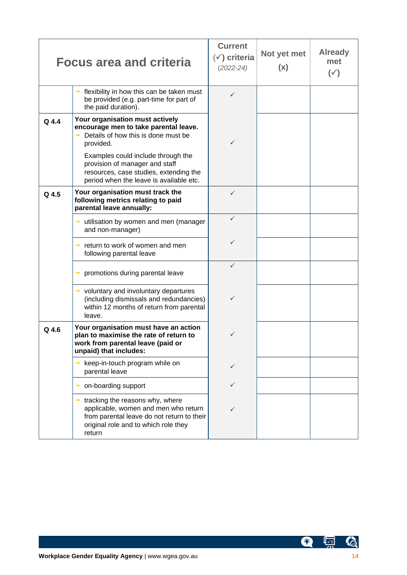|         | <b>Focus area and criteria</b>                                                                                                                                          | <b>Current</b><br>$(\check{y})$ criteria<br>$(2022 - 24)$ | Not yet met<br>(x) | <b>Already</b><br>met<br>$(\check{ }')$ |
|---------|-------------------------------------------------------------------------------------------------------------------------------------------------------------------------|-----------------------------------------------------------|--------------------|-----------------------------------------|
|         | flexibility in how this can be taken must<br>be provided (e.g. part-time for part of<br>the paid duration).                                                             | ✓                                                         |                    |                                         |
| $Q$ 4.4 | Your organisation must actively<br>encourage men to take parental leave.<br>Details of how this is done must be<br>provided.                                            | $\checkmark$                                              |                    |                                         |
|         | Examples could include through the<br>provision of manager and staff<br>resources, case studies, extending the<br>period when the leave is available etc.               |                                                           |                    |                                         |
| Q 4.5   | Your organisation must track the<br>following metrics relating to paid<br>parental leave annually:                                                                      | ✓                                                         |                    |                                         |
|         | utilisation by women and men (manager<br>$\rightarrow$<br>and non-manager)                                                                                              | ✓                                                         |                    |                                         |
|         | return to work of women and men<br>following parental leave                                                                                                             | ✓                                                         |                    |                                         |
|         | promotions during parental leave<br>→                                                                                                                                   | ✓                                                         |                    |                                         |
|         | $\rightarrow$ voluntary and involuntary departures<br>(including dismissals and redundancies)<br>within 12 months of return from parental<br>leave.                     | $\checkmark$                                              |                    |                                         |
| Q 4.6   | Your organisation must have an action<br>plan to maximise the rate of return to<br>work from parental leave (paid or<br>unpaid) that includes:                          | ✓                                                         |                    |                                         |
|         | keep-in-touch program while on<br>parental leave                                                                                                                        | ✓                                                         |                    |                                         |
|         | on-boarding support                                                                                                                                                     | $\checkmark$                                              |                    |                                         |
|         | tracking the reasons why, where<br>applicable, women and men who return<br>from parental leave do not return to their<br>original role and to which role they<br>return | ✓                                                         |                    |                                         |

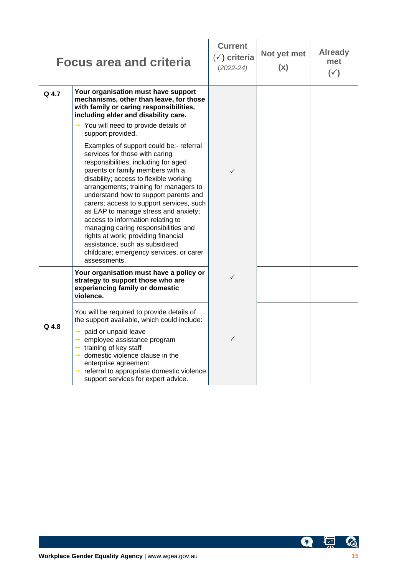|         | <b>Focus area and criteria</b>                                                                                                                                                                                                                                                                                                                                                                                                                                                                                                                                                          | <b>Current</b><br>$(\check{y})$ criteria<br>$(2022 - 24)$ | Not yet met<br>(x) | <b>Already</b><br>met<br>$(\check{ }')$ |
|---------|-----------------------------------------------------------------------------------------------------------------------------------------------------------------------------------------------------------------------------------------------------------------------------------------------------------------------------------------------------------------------------------------------------------------------------------------------------------------------------------------------------------------------------------------------------------------------------------------|-----------------------------------------------------------|--------------------|-----------------------------------------|
| Q 4.7   | Your organisation must have support<br>mechanisms, other than leave, for those<br>with family or caring responsibilities,<br>including elder and disability care.                                                                                                                                                                                                                                                                                                                                                                                                                       |                                                           |                    |                                         |
|         | $\rightarrow$ You will need to provide details of<br>support provided.                                                                                                                                                                                                                                                                                                                                                                                                                                                                                                                  |                                                           |                    |                                         |
|         | Examples of support could be:- referral<br>services for those with caring<br>responsibilities, including for aged<br>parents or family members with a<br>disability; access to flexible working<br>arrangements; training for managers to<br>understand how to support parents and<br>carers; access to support services, such<br>as EAP to manage stress and anxiety;<br>access to information relating to<br>managing caring responsibilities and<br>rights at work; providing financial<br>assistance, such as subsidised<br>childcare; emergency services, or carer<br>assessments. | $\checkmark$                                              |                    |                                         |
|         | Your organisation must have a policy or<br>strategy to support those who are<br>experiencing family or domestic<br>violence.                                                                                                                                                                                                                                                                                                                                                                                                                                                            | ✓                                                         |                    |                                         |
| $Q$ 4.8 | You will be required to provide details of<br>the support available, which could include:<br>$\rightarrow$ paid or unpaid leave<br>$\rightarrow$ employee assistance program<br>$\rightarrow$ training of key staff<br>$\rightarrow$ domestic violence clause in the<br>enterprise agreement<br>$\rightarrow$ referral to appropriate domestic violence<br>support services for expert advice.                                                                                                                                                                                          | $\checkmark$                                              |                    |                                         |

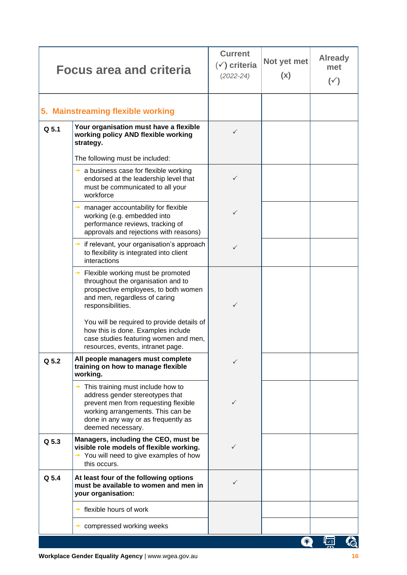|       | <b>Focus area and criteria</b>                                                                                                                                                                                                 | <b>Current</b><br>$(\check{ }')$ criteria<br>$(2022 - 24)$ | Not yet met<br>(x) | <b>Already</b><br>met<br>$(\check{ }')$ |  |
|-------|--------------------------------------------------------------------------------------------------------------------------------------------------------------------------------------------------------------------------------|------------------------------------------------------------|--------------------|-----------------------------------------|--|
|       | 5. Mainstreaming flexible working                                                                                                                                                                                              |                                                            |                    |                                         |  |
| Q 5.1 | Your organisation must have a flexible<br>working policy AND flexible working<br>strategy.                                                                                                                                     | $\checkmark$                                               |                    |                                         |  |
|       | The following must be included:                                                                                                                                                                                                |                                                            |                    |                                         |  |
|       | a business case for flexible working<br>→<br>endorsed at the leadership level that<br>must be communicated to all your<br>workforce                                                                                            | $\checkmark$                                               |                    |                                         |  |
|       | manager accountability for flexible<br>working (e.g. embedded into<br>performance reviews, tracking of<br>approvals and rejections with reasons)                                                                               | ✓                                                          |                    |                                         |  |
|       | if relevant, your organisation's approach<br>$\rightarrow$<br>to flexibility is integrated into client<br>interactions                                                                                                         | ✓                                                          |                    |                                         |  |
|       | Flexible working must be promoted<br>throughout the organisation and to<br>prospective employees, to both women<br>and men, regardless of caring<br>responsibilities.                                                          | $\checkmark$                                               |                    |                                         |  |
|       | You will be required to provide details of<br>how this is done. Examples include<br>case studies featuring women and men,<br>resources, events, intranet page.                                                                 |                                                            |                    |                                         |  |
| Q 5.2 | All people managers must complete<br>training on how to manage flexible<br>working.                                                                                                                                            |                                                            |                    |                                         |  |
|       | This training must include how to<br>$\rightarrow$<br>address gender stereotypes that<br>prevent men from requesting flexible<br>working arrangements. This can be<br>done in any way or as frequently as<br>deemed necessary. | ✓                                                          |                    |                                         |  |
| Q 5.3 | Managers, including the CEO, must be<br>visible role models of flexible working.<br>$\rightarrow$ You will need to give examples of how<br>this occurs.                                                                        | ✓                                                          |                    |                                         |  |
| Q 5.4 | At least four of the following options<br>must be available to women and men in<br>your organisation:                                                                                                                          | ✓                                                          |                    |                                         |  |
|       | flexible hours of work                                                                                                                                                                                                         |                                                            |                    |                                         |  |
|       | compressed working weeks                                                                                                                                                                                                       |                                                            |                    |                                         |  |
|       |                                                                                                                                                                                                                                |                                                            | 槮                  | Ц⊽≡                                     |  |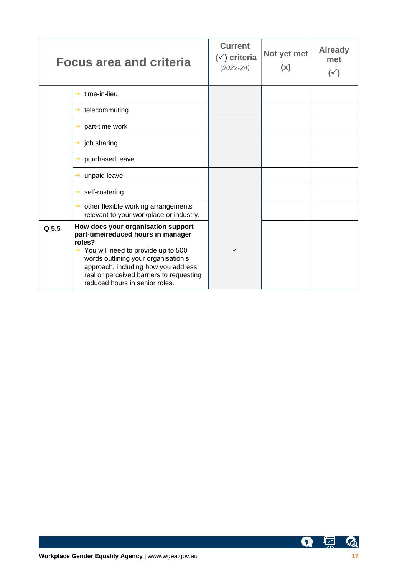|       | <b>Focus area and criteria</b>                                                                                                                                                                                                                                                                     | <b>Current</b><br>$(\check{ }')$ criteria<br>$(2022 - 24)$ | Not yet met<br>(x) | <b>Already</b><br>met<br>$(\checkmark)$ |
|-------|----------------------------------------------------------------------------------------------------------------------------------------------------------------------------------------------------------------------------------------------------------------------------------------------------|------------------------------------------------------------|--------------------|-----------------------------------------|
|       | time-in-lieu<br>$\rightarrow$                                                                                                                                                                                                                                                                      |                                                            |                    |                                         |
|       | telecommuting<br>→                                                                                                                                                                                                                                                                                 |                                                            |                    |                                         |
|       | part-time work                                                                                                                                                                                                                                                                                     |                                                            |                    |                                         |
|       | job sharing<br>→                                                                                                                                                                                                                                                                                   |                                                            |                    |                                         |
|       | purchased leave                                                                                                                                                                                                                                                                                    |                                                            |                    |                                         |
|       | unpaid leave<br>$\rightarrow$                                                                                                                                                                                                                                                                      |                                                            |                    |                                         |
|       | self-rostering<br>→                                                                                                                                                                                                                                                                                |                                                            |                    |                                         |
|       | $\rightarrow$ other flexible working arrangements<br>relevant to your workplace or industry.                                                                                                                                                                                                       |                                                            |                    |                                         |
| Q 5.5 | How does your organisation support<br>part-time/reduced hours in manager<br>roles?<br>$\rightarrow$ You will need to provide up to 500<br>words outlining your organisation's<br>approach, including how you address<br>real or perceived barriers to requesting<br>reduced hours in senior roles. | ✓                                                          |                    |                                         |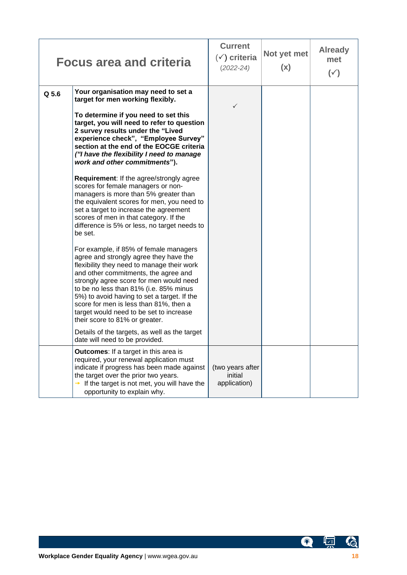|       | <b>Focus area and criteria</b>                                                                                                                                                                                                                                                                                                                                                                                                    | <b>Current</b><br>$(\check{v})$ criteria<br>$(2022 - 24)$ | Not yet met<br>(x) | <b>Already</b><br>met<br>$(\check{ }')$ |
|-------|-----------------------------------------------------------------------------------------------------------------------------------------------------------------------------------------------------------------------------------------------------------------------------------------------------------------------------------------------------------------------------------------------------------------------------------|-----------------------------------------------------------|--------------------|-----------------------------------------|
| Q 5.6 | Your organisation may need to set a<br>target for men working flexibly.                                                                                                                                                                                                                                                                                                                                                           | ✓                                                         |                    |                                         |
|       | To determine if you need to set this<br>target, you will need to refer to question<br>2 survey results under the "Lived<br>experience check", "Employee Survey"<br>section at the end of the EOCGE criteria<br>("I have the flexibility I need to manage<br>work and other commitments").                                                                                                                                         |                                                           |                    |                                         |
|       | <b>Requirement:</b> If the agree/strongly agree<br>scores for female managers or non-<br>managers is more than 5% greater than<br>the equivalent scores for men, you need to<br>set a target to increase the agreement<br>scores of men in that category. If the<br>difference is 5% or less, no target needs to<br>be set.                                                                                                       |                                                           |                    |                                         |
|       | For example, if 85% of female managers<br>agree and strongly agree they have the<br>flexibility they need to manage their work<br>and other commitments, the agree and<br>strongly agree score for men would need<br>to be no less than 81% (i.e. 85% minus<br>5%) to avoid having to set a target. If the<br>score for men is less than 81%, then a<br>target would need to be set to increase<br>their score to 81% or greater. |                                                           |                    |                                         |
|       | Details of the targets, as well as the target<br>date will need to be provided.                                                                                                                                                                                                                                                                                                                                                   |                                                           |                    |                                         |
|       | <b>Outcomes:</b> If a target in this area is<br>required, your renewal application must<br>indicate if progress has been made against<br>the target over the prior two years.<br>If the target is not met, you will have the<br>opportunity to explain why.                                                                                                                                                                       | (two years after<br>initial<br>application)               |                    |                                         |

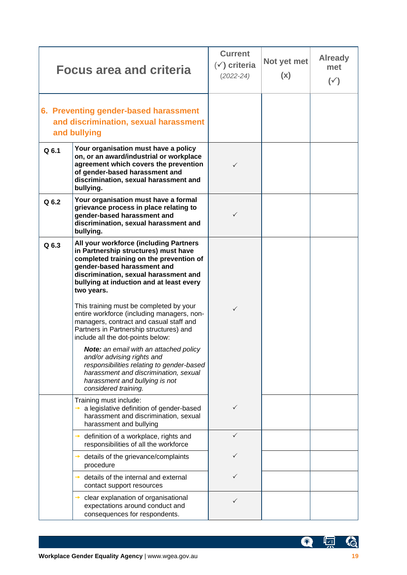|         | <b>Focus area and criteria</b>                                                                                                                                                                                                                              | <b>Current</b><br>$(\check{y})$ criteria<br>$(2022 - 24)$ | Not yet met<br>(x) | <b>Already</b><br>met<br>$(\check{ }')$ |
|---------|-------------------------------------------------------------------------------------------------------------------------------------------------------------------------------------------------------------------------------------------------------------|-----------------------------------------------------------|--------------------|-----------------------------------------|
|         | 6. Preventing gender-based harassment<br>and discrimination, sexual harassment<br>and bullying                                                                                                                                                              |                                                           |                    |                                         |
| Q 6.1   | Your organisation must have a policy<br>on, or an award/industrial or workplace<br>agreement which covers the prevention<br>of gender-based harassment and<br>discrimination, sexual harassment and<br>bullying.                                            | ✓                                                         |                    |                                         |
| $Q$ 6.2 | Your organisation must have a formal<br>grievance process in place relating to<br>gender-based harassment and<br>discrimination, sexual harassment and<br>bullying.                                                                                         | ✓                                                         |                    |                                         |
| Q 6.3   | All your workforce (including Partners<br>in Partnership structures) must have<br>completed training on the prevention of<br>gender-based harassment and<br>discrimination, sexual harassment and<br>bullying at induction and at least every<br>two years. |                                                           |                    |                                         |
|         | This training must be completed by your<br>entire workforce (including managers, non-<br>managers, contract and casual staff and<br>Partners in Partnership structures) and<br>include all the dot-points below:                                            | $\checkmark$                                              |                    |                                         |
|         | Note: an email with an attached policy<br>and/or advising rights and<br>responsibilities relating to gender-based<br>harassment and discrimination, sexual<br>harassment and bullying is not<br>considered training.                                        |                                                           |                    |                                         |
|         | Training must include:<br>a legislative definition of gender-based<br>harassment and discrimination, sexual<br>harassment and bullying                                                                                                                      | ✓                                                         |                    |                                         |
|         | definition of a workplace, rights and<br>→<br>responsibilities of all the workforce                                                                                                                                                                         |                                                           |                    |                                         |
|         | details of the grievance/complaints<br>procedure                                                                                                                                                                                                            |                                                           |                    |                                         |
|         | details of the internal and external<br>contact support resources                                                                                                                                                                                           |                                                           |                    |                                         |
|         | clear explanation of organisational<br>expectations around conduct and<br>consequences for respondents.                                                                                                                                                     |                                                           |                    |                                         |

G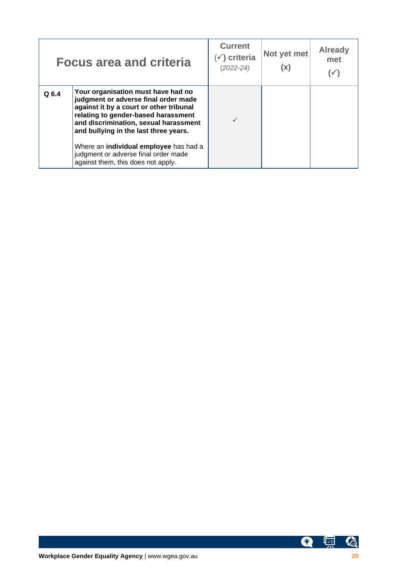|       | <b>Focus area and criteria</b>                                                                                                                                                                                                                 | <b>Current</b><br>$(\check{ } )$ criteria<br>$(2022 - 24)$ | Not yet met<br>(x) | <b>Already</b><br>met |
|-------|------------------------------------------------------------------------------------------------------------------------------------------------------------------------------------------------------------------------------------------------|------------------------------------------------------------|--------------------|-----------------------|
| Q 6.4 | Your organisation must have had no<br>judgment or adverse final order made<br>against it by a court or other tribunal<br>relating to gender-based harassment<br>and discrimination, sexual harassment<br>and bullying in the last three years. |                                                            |                    |                       |
|       | Where an <b>individual employee</b> has had a<br>judgment or adverse final order made<br>against them, this does not apply.                                                                                                                    |                                                            |                    |                       |

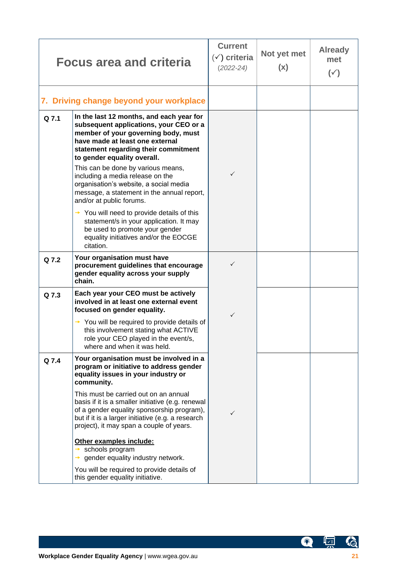|       | <b>Focus area and criteria</b>                                                                                                                                                                                                            | <b>Current</b><br>$(\check{ }')$ criteria<br>$(2022 - 24)$ | Not yet met<br>(x) | <b>Already</b><br>met<br>$(\check{ }')$ |
|-------|-------------------------------------------------------------------------------------------------------------------------------------------------------------------------------------------------------------------------------------------|------------------------------------------------------------|--------------------|-----------------------------------------|
|       | 7. Driving change beyond your workplace                                                                                                                                                                                                   |                                                            |                    |                                         |
| Q 7.1 | In the last 12 months, and each year for<br>subsequent applications, your CEO or a<br>member of your governing body, must<br>have made at least one external<br>statement regarding their commitment<br>to gender equality overall.       |                                                            |                    |                                         |
|       | This can be done by various means,<br>including a media release on the<br>organisation's website, a social media<br>message, a statement in the annual report,<br>and/or at public forums.                                                | ✓                                                          |                    |                                         |
|       | $\rightarrow$ You will need to provide details of this<br>statement/s in your application. It may<br>be used to promote your gender<br>equality initiatives and/or the EOCGE<br>citation.                                                 |                                                            |                    |                                         |
| Q 7.2 | Your organisation must have<br>procurement guidelines that encourage<br>gender equality across your supply<br>chain.                                                                                                                      | $\checkmark$                                               |                    |                                         |
| Q 7.3 | Each year your CEO must be actively<br>involved in at least one external event<br>focused on gender equality.                                                                                                                             | $\checkmark$                                               |                    |                                         |
|       | $\rightarrow$ You will be required to provide details of<br>this involvement stating what ACTIVE<br>role your CEO played in the event/s,<br>where and when it was held.                                                                   |                                                            |                    |                                         |
| Q 7.4 | Your organisation must be involved in a<br>program or initiative to address gender<br>equality issues in your industry or<br>community.                                                                                                   |                                                            |                    |                                         |
|       | This must be carried out on an annual<br>basis if it is a smaller initiative (e.g. renewal<br>of a gender equality sponsorship program),<br>but if it is a larger initiative (e.g. a research<br>project), it may span a couple of years. | $\checkmark$                                               |                    |                                         |
|       | Other examples include:<br>schools program<br>gender equality industry network.                                                                                                                                                           |                                                            |                    |                                         |
|       | You will be required to provide details of<br>this gender equality initiative.                                                                                                                                                            |                                                            |                    |                                         |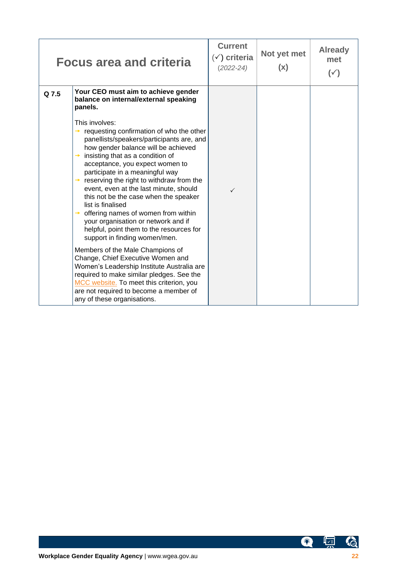|       | <b>Focus area and criteria</b>                                                                                                                                                                                                                                                                                                                                                                                                                                                                                                                                                                                                                                                                                                                                                                                                         | <b>Current</b><br>$(\checkmark)$ criteria<br>$(2022 - 24)$ | Not yet met<br>(x) | <b>Already</b><br>met<br>$(\check{ }')$ |
|-------|----------------------------------------------------------------------------------------------------------------------------------------------------------------------------------------------------------------------------------------------------------------------------------------------------------------------------------------------------------------------------------------------------------------------------------------------------------------------------------------------------------------------------------------------------------------------------------------------------------------------------------------------------------------------------------------------------------------------------------------------------------------------------------------------------------------------------------------|------------------------------------------------------------|--------------------|-----------------------------------------|
| Q 7.5 | Your CEO must aim to achieve gender<br>balance on internal/external speaking<br>panels.<br>This involves:<br>requesting confirmation of who the other<br>panellists/speakers/participants are, and<br>how gender balance will be achieved<br>insisting that as a condition of<br>acceptance, you expect women to<br>participate in a meaningful way<br>reserving the right to withdraw from the<br>event, even at the last minute, should<br>this not be the case when the speaker<br>list is finalised<br>offering names of women from within<br>your organisation or network and if<br>helpful, point them to the resources for<br>support in finding women/men.<br>Members of the Male Champions of<br>Change, Chief Executive Women and<br>Women's Leadership Institute Australia are<br>required to make similar pledges. See the | ✓                                                          |                    |                                         |
|       | MCC website. To meet this criterion, you<br>are not required to become a member of<br>any of these organisations.                                                                                                                                                                                                                                                                                                                                                                                                                                                                                                                                                                                                                                                                                                                      |                                                            |                    |                                         |

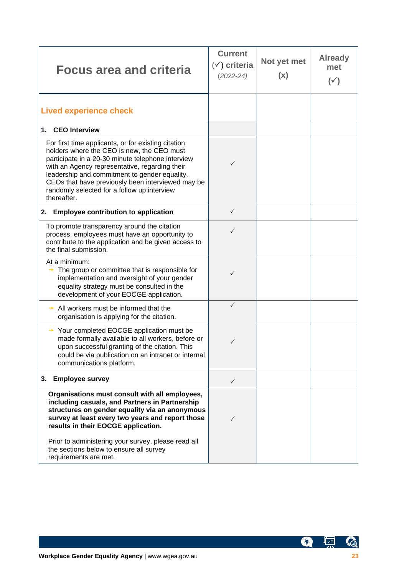| <b>Focus area and criteria</b>                                                                                                                                                                                                                                                                                                                                               | <b>Current</b><br>$(\check{y})$ criteria<br>$(2022 - 24)$ | Not yet met<br>(x) | <b>Already</b><br>met<br>$(\check{ }')$ |
|------------------------------------------------------------------------------------------------------------------------------------------------------------------------------------------------------------------------------------------------------------------------------------------------------------------------------------------------------------------------------|-----------------------------------------------------------|--------------------|-----------------------------------------|
| <b>Lived experience check</b>                                                                                                                                                                                                                                                                                                                                                |                                                           |                    |                                         |
| <b>CEO</b> Interview<br>1.                                                                                                                                                                                                                                                                                                                                                   |                                                           |                    |                                         |
| For first time applicants, or for existing citation<br>holders where the CEO is new, the CEO must<br>participate in a 20-30 minute telephone interview<br>with an Agency representative, regarding their<br>leadership and commitment to gender equality.<br>CEOs that have previously been interviewed may be<br>randomly selected for a follow up interview<br>thereafter. | $\checkmark$                                              |                    |                                         |
| 2. Employee contribution to application                                                                                                                                                                                                                                                                                                                                      | $\checkmark$                                              |                    |                                         |
| To promote transparency around the citation<br>process, employees must have an opportunity to<br>contribute to the application and be given access to<br>the final submission.                                                                                                                                                                                               | ✓                                                         |                    |                                         |
| At a minimum:<br>The group or committee that is responsible for<br>implementation and oversight of your gender<br>equality strategy must be consulted in the<br>development of your EOCGE application.                                                                                                                                                                       | ✓                                                         |                    |                                         |
| All workers must be informed that the<br>organisation is applying for the citation.                                                                                                                                                                                                                                                                                          | $\checkmark$                                              |                    |                                         |
| $\rightarrow$ Your completed EOCGE application must be<br>made formally available to all workers, before or<br>upon successful granting of the citation. This<br>could be via publication on an intranet or internal<br>communications platform.                                                                                                                             | ✓                                                         |                    |                                         |
| <b>Employee survey</b><br>3.                                                                                                                                                                                                                                                                                                                                                 | $\checkmark$                                              |                    |                                         |
| Organisations must consult with all employees,<br>including casuals, and Partners in Partnership<br>structures on gender equality via an anonymous<br>survey at least every two years and report those<br>results in their EOCGE application.<br>Prior to administering your survey, please read all<br>the sections below to ensure all survey<br>requirements are met.     | ✓                                                         |                    |                                         |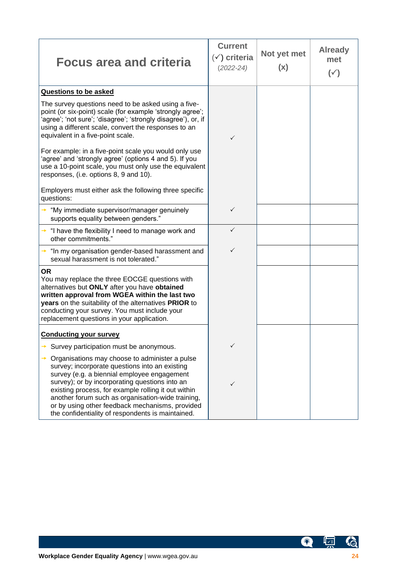| <b>Focus area and criteria</b>                                                                                                                                                                                                                                                                                                                                                                                        | <b>Current</b><br>$(\checkmark)$ criteria<br>$(2022 - 24)$ | Not yet met<br>(x) | <b>Already</b><br>met<br>$(\checkmark)$ |
|-----------------------------------------------------------------------------------------------------------------------------------------------------------------------------------------------------------------------------------------------------------------------------------------------------------------------------------------------------------------------------------------------------------------------|------------------------------------------------------------|--------------------|-----------------------------------------|
| Questions to be asked                                                                                                                                                                                                                                                                                                                                                                                                 |                                                            |                    |                                         |
| The survey questions need to be asked using a five-<br>point (or six-point) scale (for example 'strongly agree';<br>'agree'; 'not sure'; 'disagree'; 'strongly disagree'), or, if<br>using a different scale, convert the responses to an<br>equivalent in a five-point scale.                                                                                                                                        | ✓                                                          |                    |                                         |
| For example: in a five-point scale you would only use<br>'agree' and 'strongly agree' (options 4 and 5). If you<br>use a 10-point scale, you must only use the equivalent<br>responses, (i.e. options 8, 9 and 10).                                                                                                                                                                                                   |                                                            |                    |                                         |
| Employers must either ask the following three specific<br>questions:                                                                                                                                                                                                                                                                                                                                                  |                                                            |                    |                                         |
| $\rightarrow$ "My immediate supervisor/manager genuinely<br>supports equality between genders."                                                                                                                                                                                                                                                                                                                       | $\checkmark$                                               |                    |                                         |
| $\rightarrow$ "I have the flexibility I need to manage work and<br>other commitments."                                                                                                                                                                                                                                                                                                                                | ✓                                                          |                    |                                         |
| $\rightarrow$ "In my organisation gender-based harassment and<br>sexual harassment is not tolerated."                                                                                                                                                                                                                                                                                                                 | $\checkmark$                                               |                    |                                         |
| <b>OR</b><br>You may replace the three EOCGE questions with<br>alternatives but ONLY after you have obtained<br>written approval from WGEA within the last two<br>years on the suitability of the alternatives PRIOR to<br>conducting your survey. You must include your<br>replacement questions in your application.                                                                                                |                                                            |                    |                                         |
| <b>Conducting your survey</b>                                                                                                                                                                                                                                                                                                                                                                                         |                                                            |                    |                                         |
| Survey participation must be anonymous.                                                                                                                                                                                                                                                                                                                                                                               |                                                            |                    |                                         |
| Organisations may choose to administer a pulse<br>survey; incorporate questions into an existing<br>survey (e.g. a biennial employee engagement<br>survey); or by incorporating questions into an<br>existing process, for example rolling it out within<br>another forum such as organisation-wide training,<br>or by using other feedback mechanisms, provided<br>the confidentiality of respondents is maintained. | ✓                                                          |                    |                                         |

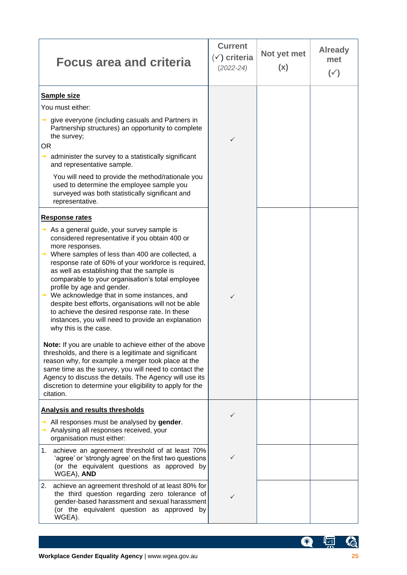| <b>Focus area and criteria</b>                                                                                                                                                                                                                                                                                                                                                                                                                                                                                                                                                                  | <b>Current</b><br>$(\check{y})$ criteria<br>$(2022 - 24)$ | Not yet met<br>(x) | <b>Already</b><br>met<br>$(\check{ }')$ |
|-------------------------------------------------------------------------------------------------------------------------------------------------------------------------------------------------------------------------------------------------------------------------------------------------------------------------------------------------------------------------------------------------------------------------------------------------------------------------------------------------------------------------------------------------------------------------------------------------|-----------------------------------------------------------|--------------------|-----------------------------------------|
| <b>Sample size</b>                                                                                                                                                                                                                                                                                                                                                                                                                                                                                                                                                                              |                                                           |                    |                                         |
| You must either:                                                                                                                                                                                                                                                                                                                                                                                                                                                                                                                                                                                |                                                           |                    |                                         |
| give everyone (including casuals and Partners in<br>Partnership structures) an opportunity to complete<br>the survey;<br>OR.<br>administer the survey to a statistically significant<br>and representative sample.                                                                                                                                                                                                                                                                                                                                                                              | ✓                                                         |                    |                                         |
| You will need to provide the method/rationale you<br>used to determine the employee sample you<br>surveyed was both statistically significant and<br>representative.                                                                                                                                                                                                                                                                                                                                                                                                                            |                                                           |                    |                                         |
| <b>Response rates</b>                                                                                                                                                                                                                                                                                                                                                                                                                                                                                                                                                                           |                                                           |                    |                                         |
| As a general guide, your survey sample is<br>considered representative if you obtain 400 or<br>more responses.<br>Where samples of less than 400 are collected, a<br>response rate of 60% of your workforce is required,<br>as well as establishing that the sample is<br>comparable to your organisation's total employee<br>profile by age and gender.<br>We acknowledge that in some instances, and<br>despite best efforts, organisations will not be able<br>to achieve the desired response rate. In these<br>instances, you will need to provide an explanation<br>why this is the case. | $\checkmark$                                              |                    |                                         |
| Note: If you are unable to achieve either of the above<br>thresholds, and there is a legitimate and significant<br>reason why, for example a merger took place at the<br>same time as the survey, you will need to contact the<br>Agency to discuss the details. The Agency will use its<br>discretion to determine your eligibility to apply for the<br>citation.                                                                                                                                                                                                                              |                                                           |                    |                                         |
| Analysis and results thresholds                                                                                                                                                                                                                                                                                                                                                                                                                                                                                                                                                                 | $\checkmark$                                              |                    |                                         |
| All responses must be analysed by gender.<br>Analysing all responses received, your<br>organisation must either:                                                                                                                                                                                                                                                                                                                                                                                                                                                                                |                                                           |                    |                                         |
| achieve an agreement threshold of at least 70%<br>1.<br>'agree' or 'strongly agree' on the first two questions<br>(or the equivalent questions as approved by<br>WGEA), AND                                                                                                                                                                                                                                                                                                                                                                                                                     | ✓                                                         |                    |                                         |
| achieve an agreement threshold of at least 80% for<br>2.<br>the third question regarding zero tolerance of<br>gender-based harassment and sexual harassment<br>(or the equivalent question as approved by<br>WGEA).                                                                                                                                                                                                                                                                                                                                                                             | $\checkmark$                                              |                    |                                         |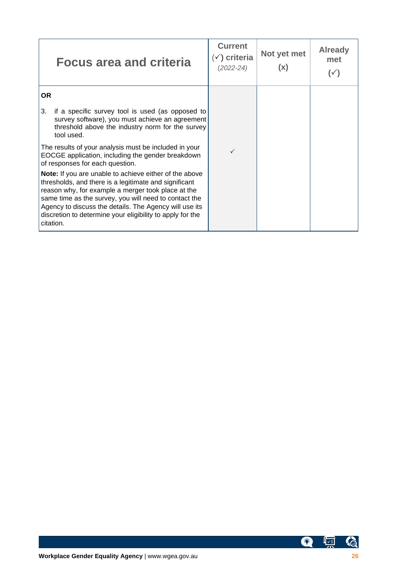| <b>Focus area and criteria</b>                                                                                                                                                                                                                                                                                                                                            | <b>Current</b><br>$\checkmark$ ) criteria<br>(2022-24) | Not yet met<br>(x) | <b>Already</b><br>met<br>( ✓ ) |
|---------------------------------------------------------------------------------------------------------------------------------------------------------------------------------------------------------------------------------------------------------------------------------------------------------------------------------------------------------------------------|--------------------------------------------------------|--------------------|--------------------------------|
| <b>OR</b>                                                                                                                                                                                                                                                                                                                                                                 |                                                        |                    |                                |
| 3.<br>if a specific survey tool is used (as opposed to<br>survey software), you must achieve an agreement<br>threshold above the industry norm for the survey<br>tool used.                                                                                                                                                                                               |                                                        |                    |                                |
| The results of your analysis must be included in your<br>EOCGE application, including the gender breakdown<br>of responses for each question.                                                                                                                                                                                                                             |                                                        |                    |                                |
| <b>Note:</b> If you are unable to achieve either of the above<br>thresholds, and there is a legitimate and significant<br>reason why, for example a merger took place at the<br>same time as the survey, you will need to contact the<br>Agency to discuss the details. The Agency will use its<br>discretion to determine your eligibility to apply for the<br>citation. |                                                        |                    |                                |